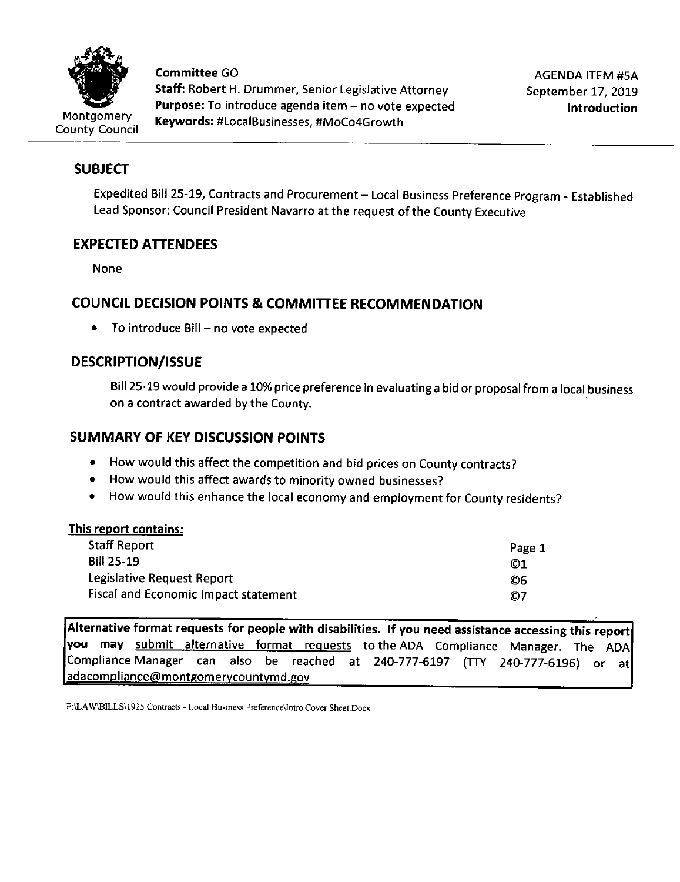

**Committee** GO **Staff:** Robert H. Drummer, Senior Legislative Attorney Purpose: To introduce agenda item - no vote expected **Keywords:** #LocalBusinesses, #MoCo4Growth

AGENDA ITEM #SA September 17, 2019 **Introduction** 

# **SUBJECT**

Expedited Bill 25-19, Contracts and Procurement - Local Business Preference Program - Established Lead Sponsor: Council President Navarro at the request of the County Executive

# **EXPECTED ATTENDEES**

None

# **COUNCIL DECISION POINTS & COMMITTEE RECOMMENDATION**

• To introduce Bill  $-$  no vote expected

# **DESCRIPTION/ISSUE**

Bill 25-19 would provide a 10% price preference in evaluating a bid or proposal from a local business on a contract awarded by the County.

# **SUMMARY OF KEY DISCUSSION POINTS**

- How would this affect the competition and bid prices on County contracts?
- How would this affect awards to minority owned businesses?
- How would this enhance the local economy and employment for County residents?

### **This report contains:**

| <b>Staff Report</b>                         | Page 1 |
|---------------------------------------------|--------|
| <b>Bill 25-19</b>                           | 01     |
| Legislative Request Report                  | O6     |
| <b>Fiscal and Economic Impact statement</b> | O7     |

**Alternative format requests for people with disabilities. If you need assistance accessing this report you may** submit alternative format requests to the ADA Compliance Manager. The ADA Compliance Manager can also be reached at 240-777-6197 (TTY 240-777-6196) or at adacompliance@montgomerycountymd.gov

F:\LA W\BILLS\1925 Contracts - Local Business Preference\Intro Cover Sheet.Docx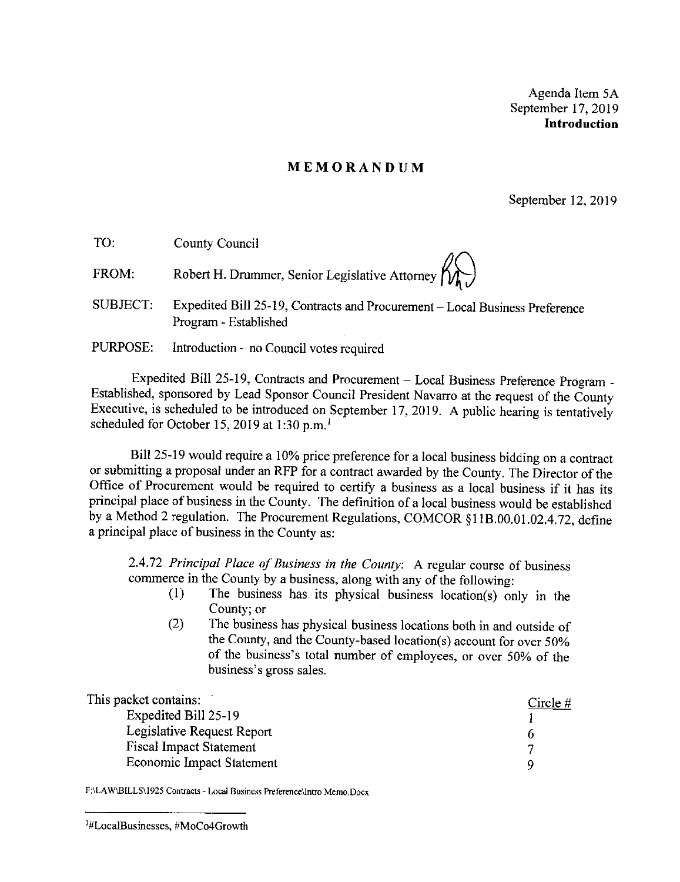Agenda Item SA September 17, 2019 **Introduction** 

#### **MEMORANDUM**

September 12, 2019

| TO:      | County Council                                                                                       |
|----------|------------------------------------------------------------------------------------------------------|
| FROM:    | Robert H. Drummer, Senior Legislative Attorney $\left\{\bigwedge_{k=1}^{N} \right\}$                 |
| SUBJECT: | Expedited Bill 25-19, Contracts and Procurement - Local Business Preference<br>Program - Established |
| PURPOSE: | Introduction – no Council votes required                                                             |

Expedited Bill 25-19, Contracts and Procurement - Local Business Preference Program - Established, sponsored by Lead Sponsor Council President Navarro at the request of the County Executive, is scheduled to be introduced on September 17, 2019. A public hearing is tentatively scheduled for October 15, 2019 at 1:30 p.m.<sup>1</sup>

Bill 25-19 would require a 10% price preference for a local business bidding on a contract or submitting a proposal under an RFP for a contract awarded by the County. The Director of the Office of Procurement would be required to certify a business as a local business if it has its principal place of business in the County. The definition of a local business would be established by a Method 2 regulation. The Procurement Regulations, COMCOR §l lB.00.01.02.4.72, define a principal place of business in the County as:

2.4. 72 *Principal Place of Business in the County:* A regular course of business commerce in the County by a business, along with any of the following:

- (I) The business has its physical business location(s) only in the County; or
- (2) The business has physical business locations both in and outside of the County, and the County-based location(s) account for over 50% of the business's total number of employees, or over 50% of the business's gross sales.

| This packet contains:          | Circle $#$ |
|--------------------------------|------------|
| Expedited Bill 25-19           |            |
| Legislative Request Report     | o          |
| <b>Fiscal Impact Statement</b> |            |
| Economic Impact Statement      | Q          |

**F:\LA W\BILLS\1925 Contracts - Local Business Preference\Intro Memo.Docx** 

<sup>1</sup> #Loca1Businesses, #MoCo4Growth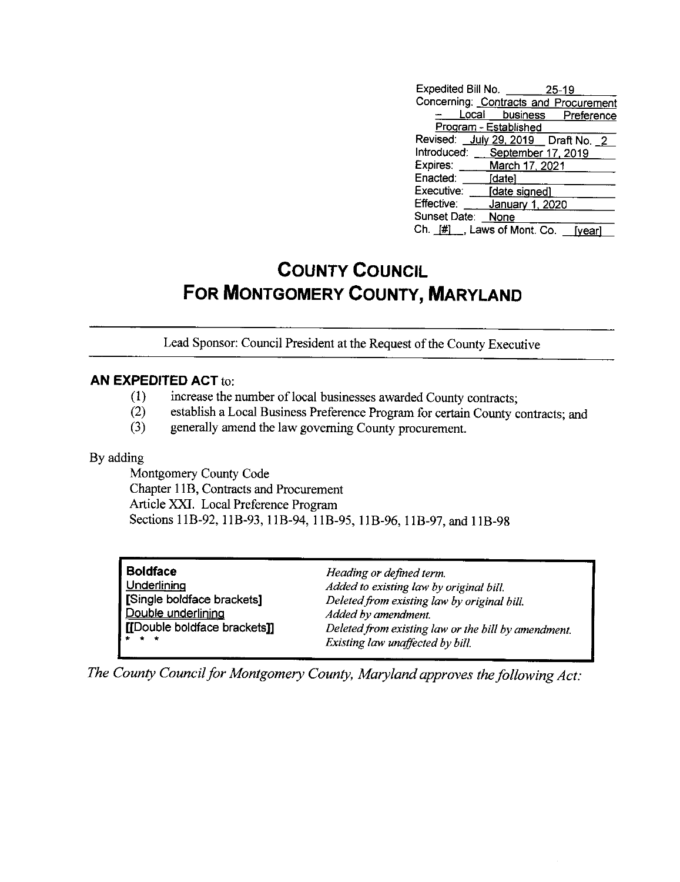| Expedited Bill No. 25-19              |                       |                           |
|---------------------------------------|-----------------------|---------------------------|
| Concerning: Contracts and Procurement |                       |                           |
|                                       |                       | Local business Preference |
|                                       | Program - Established |                           |
| Revised: July 29, 2019   Draft No. 2  |                       |                           |
| Introduced: September 17, 2019        |                       |                           |
| Expires: _____ March 17, 2021         |                       |                           |
| Enacted:                              | [date]                |                           |
| Executive: [date_signed]              |                       |                           |
| Effective:                            | January 1, 2020       |                           |
| Sunset Date: None                     |                       |                           |
| Ch. [#] , Laws of Mont. Co.           |                       | <b>Ivear</b>              |

# **COUNTY COUNCIL FOR MONTGOMERY COUNTY, MARYLAND**

Lead Sponsor: Council President at the Request of the County Executive

#### **AN EXPEDITED ACT** to:

- (1) increase the number of local businesses awarded County contracts;<br>(2) establish a Local Business Preference Program for certain County c
- establish a Local Business Preference Program for certain County contracts; and
- (3) generally amend the law governing County procurement.

By adding

Montgomery County Code Chapter 11B, Contracts and Procurement Article XXI. Local Preference Program Sections 11B-92, 11B-93, 11B-94, 11B-95, 11B-96, 11B-97, and 11B-98

| ▌Boldface                    | Heading or defined term.                            |
|------------------------------|-----------------------------------------------------|
| Underlining                  | Added to existing law by original bill.             |
| Single boldface brackets]    | Deleted from existing law by original bill.         |
| Double underlining           | Added by amendment.                                 |
| [[Double boldface brackets]] | Deleted from existing law or the bill by amendment. |
| $+ + +$                      | Existing law unaffected by bill.                    |

*The County Council for Montgomery County, Maryland approves the following Act:*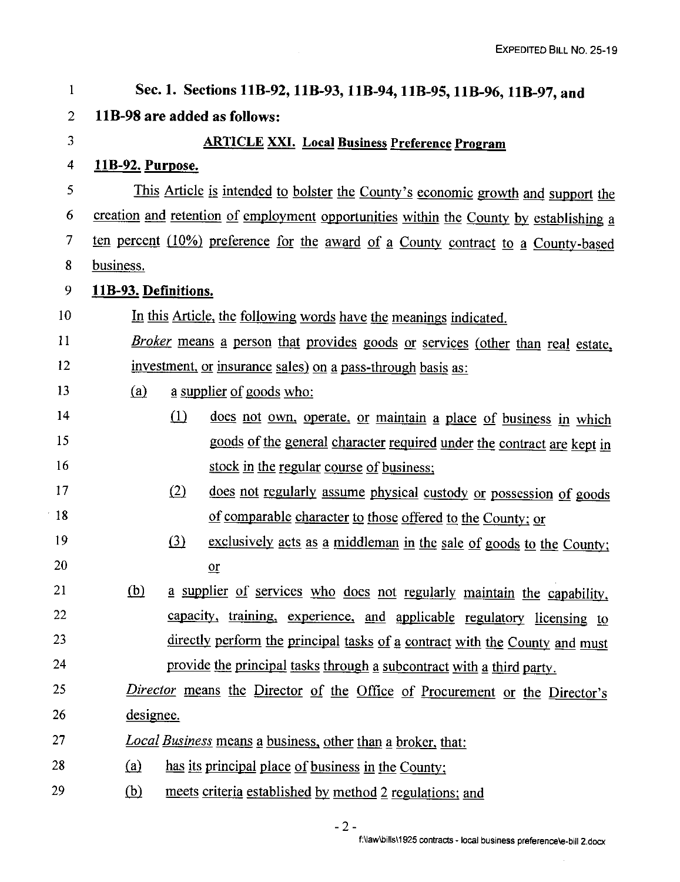| $\mathbf{1}$             | Sec. 1. Sections 11B-92, 11B-93, 11B-94, 11B-95, 11B-96, 11B-97, and                   |  |  |
|--------------------------|----------------------------------------------------------------------------------------|--|--|
| $\overline{2}$           | 11B-98 are added as follows:                                                           |  |  |
| 3                        | <b>ARTICLE XXI. Local Business Preference Program</b>                                  |  |  |
| $\overline{\mathcal{A}}$ | <u>11B-92. Purpose.</u>                                                                |  |  |
| 5                        | This Article is intended to bolster the County's economic growth and support the       |  |  |
| 6                        | creation and retention of employment opportunities within the County by establishing a |  |  |
| $\mathcal T$             | ten percent (10%) preference for the award of a County contract to a County-based      |  |  |
| 8                        | business.                                                                              |  |  |
| 9                        | 11B-93. Definitions.                                                                   |  |  |
| 10                       | In this Article, the following words have the meanings indicated.                      |  |  |
| 11                       | Broker means a person that provides goods or services (other than real estate,         |  |  |
| 12                       | investment, or insurance sales) on a pass-through basis as:                            |  |  |
| 13                       | (a)<br>a supplier of goods who:                                                        |  |  |
| 14                       | (1)<br>does not own, operate, or maintain a place of business in which                 |  |  |
| 15                       | goods of the general character required under the contract are kept in                 |  |  |
| 16                       | stock in the regular course of business;                                               |  |  |
| 17                       | (2)<br>does not regularly assume physical custody or possession of goods               |  |  |
| $-18$                    | of comparable character to those offered to the County; or                             |  |  |
| 19                       | (3)<br>exclusively acts as a middleman in the sale of goods to the County;             |  |  |
| 20                       | $or$                                                                                   |  |  |
| 21                       | (b)<br>a supplier of services who does not regularly maintain the capability,          |  |  |
| 22                       | capacity, training, experience, and applicable regulatory licensing to                 |  |  |
| 23                       | directly perform the principal tasks of a contract with the County and must            |  |  |
| 24                       | provide the principal tasks through a subcontract with a third party.                  |  |  |
| 25                       | Director means the Director of the Office of Procurement or the Director's             |  |  |
| 26                       | designee.                                                                              |  |  |
| 27                       | <i>Local Business</i> means a business, other than a broker, that:                     |  |  |
| 28                       | <u>(a)</u><br>has its principal place of business in the County;                       |  |  |
| 29                       | <u>(b)</u><br>meets criteria established by method 2 regulations; and                  |  |  |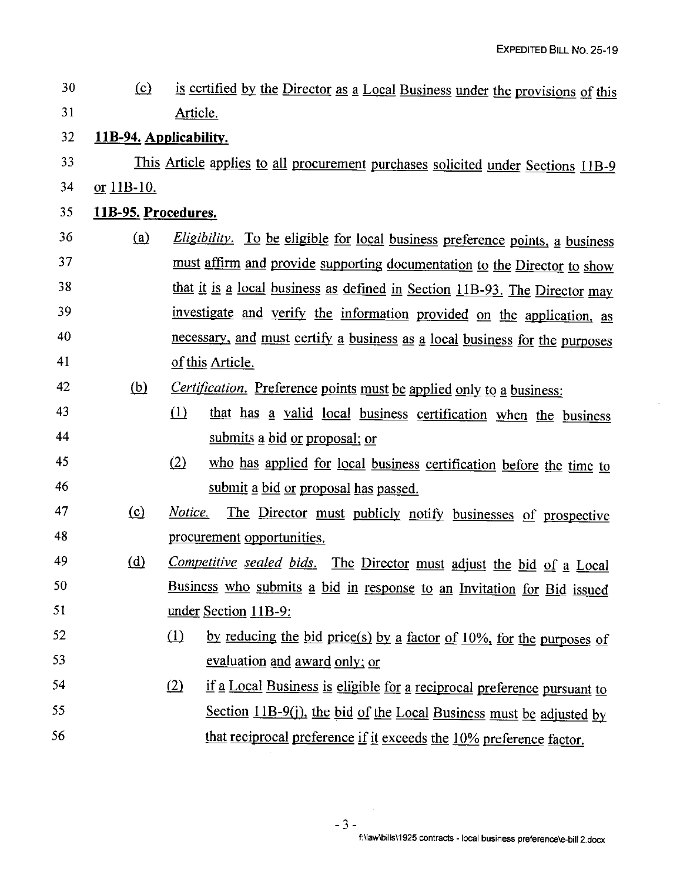$30$  (c) is certified by the Director as a Local Business under the provisions of this 31 Article. <sup>32</sup>**11B-94. Applicability.**  33 This Article applies to all procurement purchases solicited under Sections 11B-9 34 or 11B-10. 35 **11B-95. Procedures.**  *Eligibility*. To be eligible for local business preference points, a business 36  $(a)$ must affirm and provide supporting documentation to the Director to show 37 that it is a local business as defined in Section 11B-93. The Director may 38 investigate and verify the information provided on the application, as 39 40 necessary, and must certify a business as a local business for the purposes 41 of this Article. *Certification.* Preference points must be applied only to a business: 42 (b) that has a valid local business certification when the business 43  $(1)$ 44 submits a bid or proposal; or 45 who has applied for local business certification before the time to  $(2)$ 46 submit a bid or proposal has passed. 47 *Notice.* The Director must publicly notify businesses of prospective  $(c)$ 48 procurement opportunities. *Competitive sealed bids.* The Director must adjust the bid of a Local 49  $(d)$ Business who submits a bid in response to an Invitation for Bid issued 50 51 under Section 11B-9: by reducing the bid price(s) by a factor of  $10\%$ , for the purposes of 52  $\Omega$ 53 evaluation and award only; or 54  $(2)$ if a Local Business is eligible for a reciprocal preference pursuant to 55 Section  $11B-9(i)$ , the bid of the Local Business must be adjusted by 56 that reciprocal preference if it exceeds the 10% preference factor.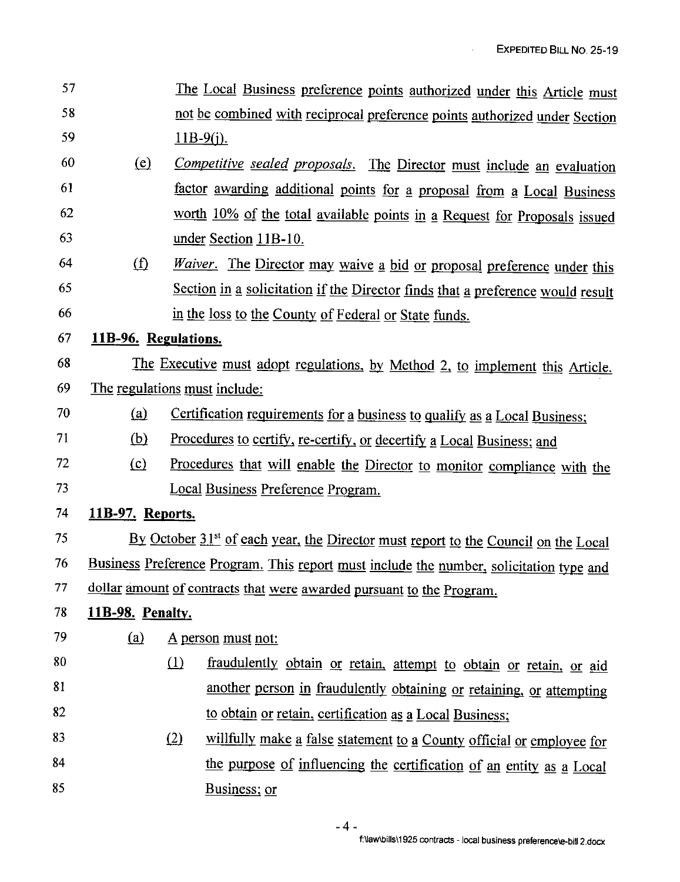$\overline{1}$ 

| 57 |                                                                                         |                                                                            | The Local Business preference points authorized under this Article must                        |  |  |
|----|-----------------------------------------------------------------------------------------|----------------------------------------------------------------------------|------------------------------------------------------------------------------------------------|--|--|
| 58 |                                                                                         | not be combined with reciprocal preference points authorized under Section |                                                                                                |  |  |
| 59 |                                                                                         | $11B-9(j)$ .                                                               |                                                                                                |  |  |
| 60 | <u>(e)</u>                                                                              |                                                                            | Competitive sealed proposals. The Director must include an evaluation                          |  |  |
| 61 |                                                                                         |                                                                            | factor awarding additional points for a proposal from a Local Business                         |  |  |
| 62 |                                                                                         |                                                                            | worth 10% of the total available points in a Request for Proposals issued                      |  |  |
| 63 |                                                                                         |                                                                            | under Section 11B-10.                                                                          |  |  |
| 64 | $\Omega$                                                                                |                                                                            | Waiver. The Director may waive a bid or proposal preference under this                         |  |  |
| 65 |                                                                                         |                                                                            | Section in a solicitation if the Director finds that a preference would result                 |  |  |
| 66 |                                                                                         |                                                                            | in the loss to the County of Federal or State funds.                                           |  |  |
| 67 | 11B-96. Regulations.                                                                    |                                                                            |                                                                                                |  |  |
| 68 |                                                                                         |                                                                            | The Executive must adopt regulations, by Method 2, to implement this Article.                  |  |  |
| 69 | The regulations must include:                                                           |                                                                            |                                                                                                |  |  |
| 70 | (a)                                                                                     |                                                                            | Certification requirements for a business to qualify as a Local Business;                      |  |  |
| 71 | <u>(b)</u>                                                                              |                                                                            | Procedures to certify, re-certify, or decertify a Local Business; and                          |  |  |
| 72 | (c)                                                                                     | Procedures that will enable the Director to monitor compliance with the    |                                                                                                |  |  |
| 73 |                                                                                         |                                                                            | Local Business Preference Program.                                                             |  |  |
| 74 | 11B-97. Reports.                                                                        |                                                                            |                                                                                                |  |  |
| 75 |                                                                                         |                                                                            | By October 31 <sup>st</sup> of each year, the Director must report to the Council on the Local |  |  |
| 76 | Business Preference Program. This report must include the number, solicitation type and |                                                                            |                                                                                                |  |  |
| 77 | dollar amount of contracts that were awarded pursuant to the Program.                   |                                                                            |                                                                                                |  |  |
| 78 | 11B-98. Penalty.                                                                        |                                                                            |                                                                                                |  |  |
| 79 | (a)                                                                                     |                                                                            | <u>A person must not:</u>                                                                      |  |  |
| 80 |                                                                                         | (1)                                                                        | fraudulently obtain or retain, attempt to obtain or retain, or aid                             |  |  |
| 81 |                                                                                         |                                                                            | another person in fraudulently obtaining or retaining, or attempting                           |  |  |
| 82 |                                                                                         |                                                                            | to obtain or retain, certification as a Local Business;                                        |  |  |
| 83 |                                                                                         | (2)                                                                        | willfully make a false statement to a County official or employee for                          |  |  |
| 84 |                                                                                         |                                                                            | the purpose of influencing the certification of an entity as a Local                           |  |  |
| 85 |                                                                                         |                                                                            | Business; or                                                                                   |  |  |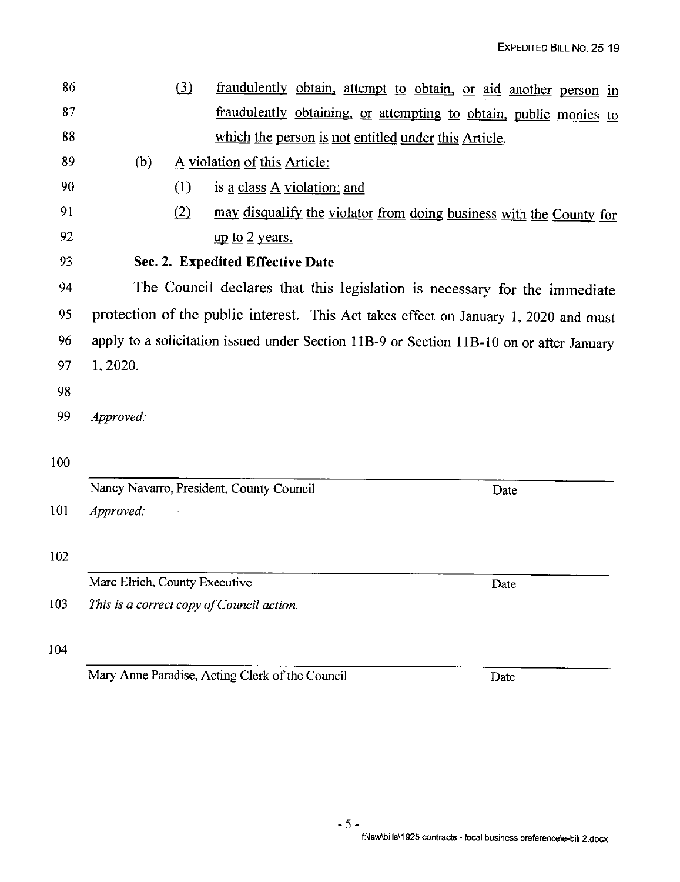86 87 88  $i$ ll fraudulently obtain, attempt to obtain, or aid another person in fraudulently obtaining, or attempting to obtain, public monies to which the person is not entitled under this Article. 89  $(b)$  A violation of this Article: 90 ill is J! class A violation; and 91 (2) may disqualify the violator from doing business with the County for 92  $\qquad \qquad \text{up to 2 years.}$ 93 **Sec. 2. Expedited Effective Date**  94 The Council declares that this legislation 1s necessary for the immediate 95 protection of the public interest. This Act takes effect on January 1, 2020 and must 96 apply to a solicitation issued under Section 11B-9 or Section 11B-10 on or after January 97 1, 2020. 98 99 *Approved:*  100 Nancy Navarro, President, County Council 101 *Approved:*  102 Marc Elrich, County Executive 103 *This* is *a correct copy of Council action.*  104 Mary Anne Paradise, Acting Clerk of the Council Date Date Date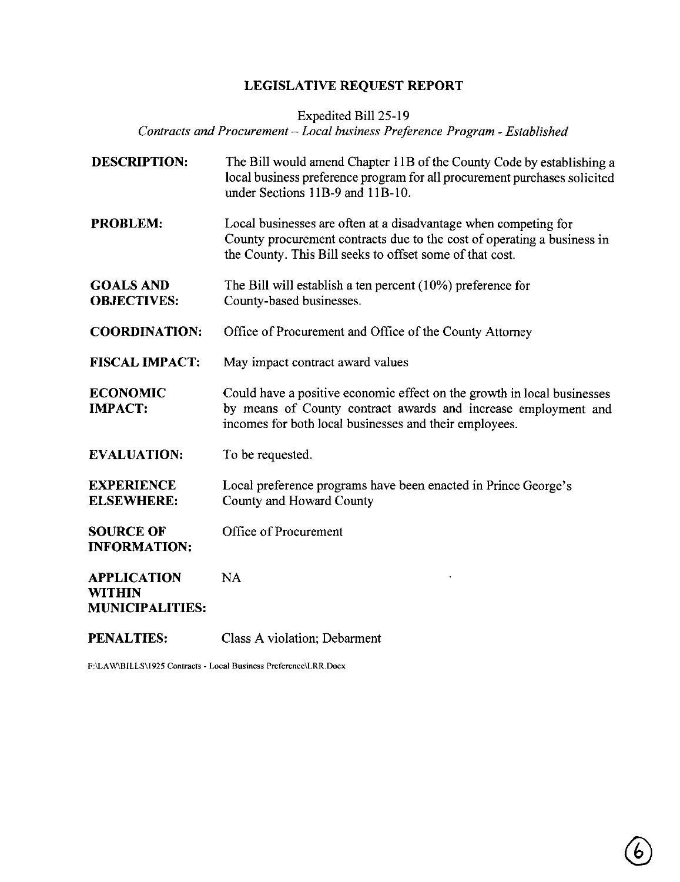# **LEGISLATIVE REQUEST REPORT**

Expedited Bill 25-19

*Contracts and Procurement* - *Local business Preference Program* - *Established* 

| <b>DESCRIPTION:</b>                                           | The Bill would amend Chapter 11B of the County Code by establishing a<br>local business preference program for all procurement purchases solicited<br>under Sections 11B-9 and 11B-10.                 |
|---------------------------------------------------------------|--------------------------------------------------------------------------------------------------------------------------------------------------------------------------------------------------------|
| <b>PROBLEM:</b>                                               | Local businesses are often at a disadvantage when competing for<br>County procurement contracts due to the cost of operating a business in<br>the County. This Bill seeks to offset some of that cost. |
| <b>GOALS AND</b><br><b>OBJECTIVES:</b>                        | The Bill will establish a ten percent $(10\%)$ preference for<br>County-based businesses.                                                                                                              |
| <b>COORDINATION:</b>                                          | Office of Procurement and Office of the County Attorney                                                                                                                                                |
| <b>FISCAL IMPACT:</b>                                         | May impact contract award values                                                                                                                                                                       |
| <b>ECONOMIC</b><br><b>IMPACT:</b>                             | Could have a positive economic effect on the growth in local businesses<br>by means of County contract awards and increase employment and<br>incomes for both local businesses and their employees.    |
| <b>EVALUATION:</b>                                            | To be requested.                                                                                                                                                                                       |
| <b>EXPERIENCE</b><br><b>ELSEWHERE:</b>                        | Local preference programs have been enacted in Prince George's<br>County and Howard County                                                                                                             |
| <b>SOURCE OF</b><br><b>INFORMATION:</b>                       | Office of Procurement                                                                                                                                                                                  |
| <b>APPLICATION</b><br><b>WITHIN</b><br><b>MUNICIPALITIES:</b> | NA                                                                                                                                                                                                     |
| <b>PENALTIES:</b>                                             | Class A violation; Debarment                                                                                                                                                                           |

**F:\LA W\BILLS\1925 Contracts - Local Business Preference\LRR.Docx**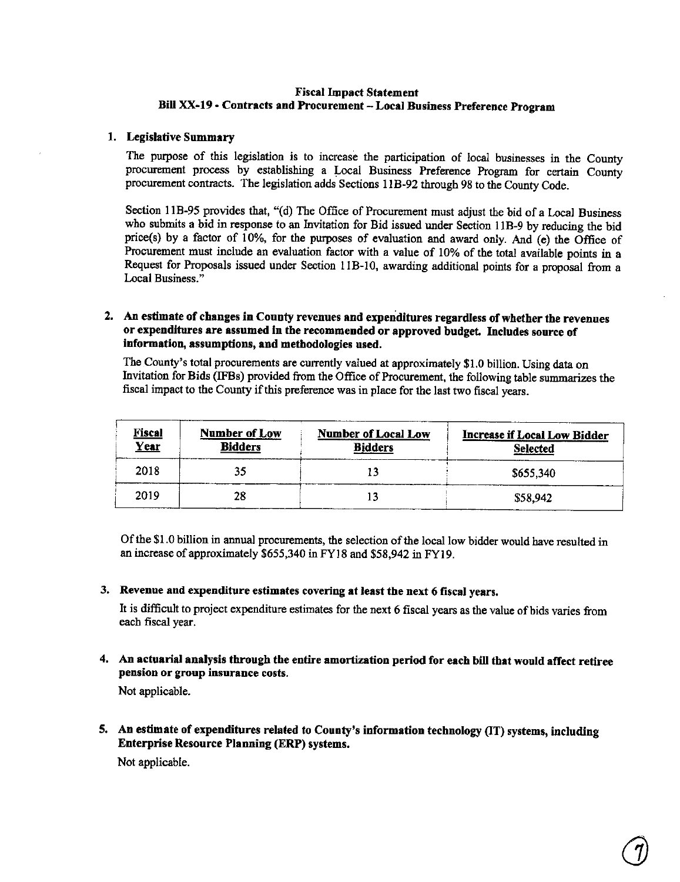#### **Fiscal Impact Statement Bill XX-19** - **Contracts and Procurement** - **Local Business Preference Program**

#### 1. **Legislative Summary**

The purpose of this legislation is to increase the participation of local businesses in the County procurement process by establishing a Local Business Preference Program for certain County procurement contracts. The legislation adds Sections 1 IB-92 through 98 to the County Code.

Section 11B-95 provides that, "(d) The Office of Procurement must adjust the bid of a Local Business who submits a bid in response to an Invitation for Bid issued under Section 11B-9 by reducing the bid price(s) by a factor of 10%, for the purposes of evaluation and award only. And (e) the Office of Procurement must include an evaluation factor with a value of 10% of the total available points in a Request for Proposals issued under Section 11B-10, awarding additional points for a proposal from a Local Business."

#### **2. An estimate of changes in County revenues and expenditures regardless of whether the revenues or expenditures are assumed In the recommended or approved budget. Includes source of information, assumptions, and methodologies used.**

The County's total procurements are currently valued at approximately \$1.0 billion. Using data on Invitation for Bids (IFBs) provided from the Office of Procurement, the following table summarizes the fiscal impact to the County if this preference was in place for the last two fiscal years.

| <b>Fiscal</b><br>Year | Number of Low<br><b>Number of Local Low</b><br><b>Bidders</b><br><b>Bidders</b> |  | <b>Increase if Local Low Bidder</b><br>Selected |  |
|-----------------------|---------------------------------------------------------------------------------|--|-------------------------------------------------|--|
| 2018                  | 35                                                                              |  | \$655,340                                       |  |
| 2019                  | 28                                                                              |  | \$58,942                                        |  |

Of the \$1.0 billion in annual procurements, the selection of the local low bidder would have resulted in an increase of approximately \$655,340 inFY18 and \$58,942 in FYl9.

#### 3. **Revenue and expenditure estimates covering at least the next 6 fiscal years.**

It is difficult to project expenditure estimates for the next 6 fiscal years as the value of bids varies from each fiscal year.

**4. An actuarial analysis through the entire amortization period for each bill that would affect retiree pension or group insurance costs.** 

Not applicable.

5, An estimate of expenditures related to County's information technology (IT) systems, including Enterprise Resource Planning (ERP) systems.

Not applicable.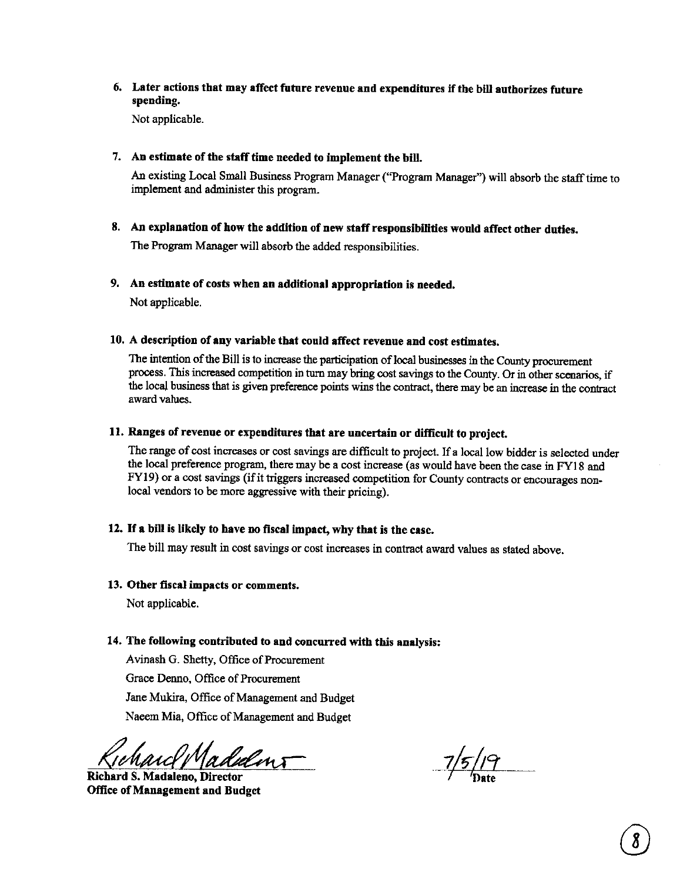### 6. Later actions that may affect future revenue **and** expenditures if the bill authorizes future **spending.**

Not applicable.

### 7. **An estimate of the staff time needed to implement the bill.**

An existing Local Small Business Program Manager (''Program Manager") will absorb the staff time to implement and administer this program.

**8. An explanation of bow the addition of new staff responsibilities would affect other duties.**  The Program Manager will absorb the added responsibilities.

### **9. An estimate of costs when an additional appropriation is needed.**

Not applicable.

#### **10. A description of any variable that could affect revenue and cost estimates.**

The intention of the Bill is to increase the participation of local businesses in the County procurement process. This increased competition in turn may bring cost savings to the County. Or in other scenarios, if the loca) business that is given preference points wins the contract, there may be an increase in the contract award values.

#### **11. Ranges of revenue or expenditures that are uncertain or difficult to project.**

The range of cost increases or cost savings are difficult to project. If a local low bidder is selected under the local preference program, there maybe a cost increase (as would have been the case in FY18 and FY19) or a cost savings (if it triggers increased competition for County contracts or encourages nonlocal vendors to be more aggressive with their pricing).

#### 12. If **a bill is likely to have no fiscal impact, why that is the case.**

The bill may result in cost savings or cost increases in contract award values as stated above.

#### **13. Other fiscal impacts or comments.**

Not applicable.

#### **14. The following contributed to and concurred with this analysis:**

Avinash G. Shetty, Office of Procurement Grace Denno, Office of Procurement Jane Mukira, Office of Management and Budget Naeem Mia, Office of Management and Budget

rcl Madulins

**Richard S. Madaleno, Director Office of Management and Budget** 

 $\frac{7}{5}$ /19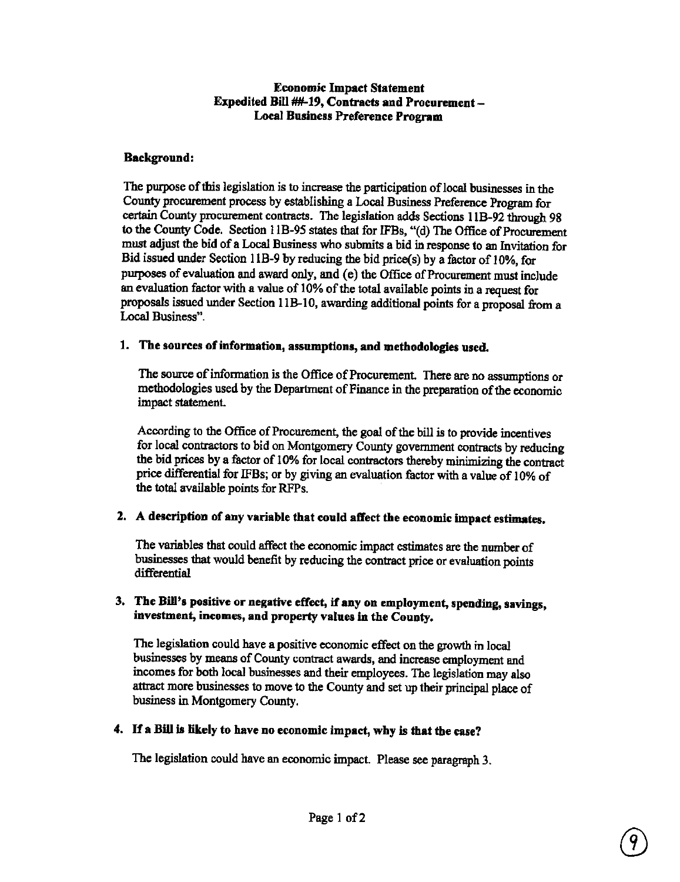#### Economic Impact Statement **Expedited Bill** ##-19, **Contracts and Procurement-**Local **Business Preference Program**

### **Background:**

The purpose of this legislation is to increase the participation of local businesses in the County procurement process by establishing a Local Business Preference Program for certain County procurement contracts. The legislation adds Sections l lB-92 through 98 to the County Code. Section I lB-95 states that for IFBs, "(d) The Office of Procurement must adjust the bid of a Local Business who submits a bid in response to an Invitation for Bid issued under Section 11B-9 by reducing the bid price(s) by a factor of 10%, for purposes of evaluation and award only, and (e) the Office of Procurement must include an evaluation factor with a value of 10% of the total available points in a request for proposals issued under Section 11B-10, awarding additional points for a proposal from a Local Business".

#### **1. The sources of information, assumptions, and methodologies used.**

The source of information is the Office of Procurement. There are no assumptions or methodologies used by the Department of Finance in the preparation of the economic impact statement.

According to the Office of Procurement, the goal of the bill is to provide incentives for local contractors to bid on Montgomery County government contracts by reducing the bid prices by a factor of 10% for local contractors thereby minimizing the contract price differential for IFBs; or by giving an evaluation factor with a value of 10% of the total available points for RFPs.

### **2. A description of any variable that could affect the economic impact estimates.**

The variables that could affect the economic impact estimates are the number of businesses that would benefit by reducing the contract price or evaluation points differential

#### 3. The Bill's positive or negative effect, if any on employment, spending, savings, **investment, incomes, and property values** in **the County.**

The legislation could have **a** positive economic effect on the growth in local businesses by means of County contract awards, and increase employment and incomes for both local businesses and their employees. The legislation may also attract more businesses to move to the County and set up their principal place of business in Montgomery County.

### **4.** If **a Bill** is **likely to have no economic impact, why** is **that the case?**

The legislation could have an economic impact. Please see paragraph 3.